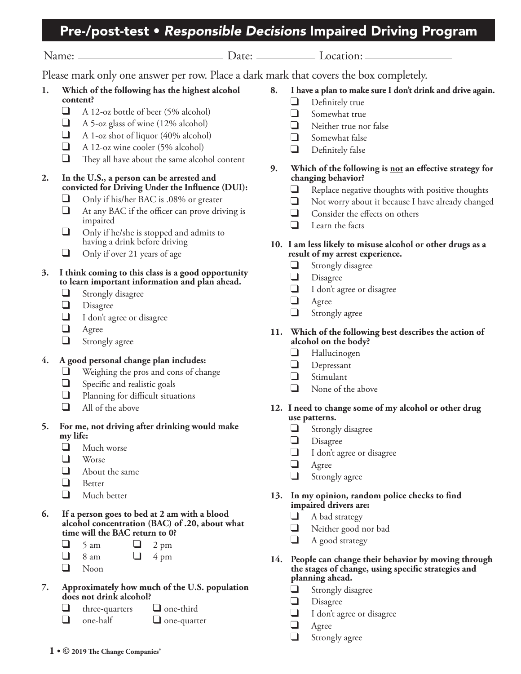# Pre-/post-test • *Responsible Decisions* Impaired Driving Program

Name: Date: Location:

Please mark only one answer per row. Place a dark mark that covers the box completely.

- **1. Which of the following has the highest alcohol content?**
	- $\Box$ A 12-oz bottle of beer (5% alcohol)
	- $\Box$ A 5-oz glass of wine (12% alcohol)
	- $\Box$ A 1-oz shot of liquor (40% alcohol)
	- $\Box$ A 12-oz wine cooler (5% alcohol)
	- $\Box$ They all have about the same alcohol content

### **2. In the U.S., a person can be arrested and convicted for Driving Under the Influence (DUI):**

- ┙ Only if his/her BAC is .08% or greater
- $\Box$ At any BAC if the officer can prove driving is impaired
- $\Box$ Only if he/she is stopped and admits to having a drink before driving
- Only if over 21 years of age ┙

## **3. I think coming to this class is a good opportunity to learn important information and plan ahead.**

- ┙ Strongly disagree
- ⊔ Disagree
- I don't agree or disagree
- Agree
- $\Box$ Strongly agree

# **4. A good personal change plan includes:**

- ┙ Weighing the pros and cons of change
- ❏ Specific and realistic goals
- Planning for difficult situations
- All of the above

## **5. For me, not driving after drinking would make my life:**

- ┙ Much worse
- Worse
- About the same
- $\Box$ Better
- Much better
- **6. If a person goes to bed at 2 am with a blood alcohol concentration (BAC) of .20, about what time will the BAC return to 0?**
	- $\Box$  $5 \text{ am}$  2 pm
		- $8 \text{ am}$   $4 \text{ pm}$
	- $\Box$ Noon
- **7. Approximately how much of the U.S. population does not drink alcohol?**
	- $three-quarters$  **d** one-third
	- one-half one-quarter
- **8. I have a plan to make sure I don't drink and drive again.**
	- Definitely true
	- $\Box$ Somewhat true
	- $\Box$ Neither true nor false
	- Somewhat false
	- Definitely false
- **9. Which of the following is not an effective strategy for changing behavior?**
	- $\Box$ Replace negative thoughts with positive thoughts
	- $\Box$ Not worry about it because I have already changed
	- $\Box$ Consider the effects on others
	- $\Box$ Learn the facts

### **10. I am less likely to misuse alcohol or other drugs as a result of my arrest experience.**

- Strongly disagree  $\blacksquare$
- $\Box$ Disagree
- I don't agree or disagree
- Agree
- $\Box$ Strongly agree

### **11. Which of the following best describes the action of alcohol on the body?**

- ப Hallucinogen
- Depressant
- $\Box$ Stimulant
- None of the above

### **12. I need to change some of my alcohol or other drug use patterns.**

- u Strongly disagree
- $\Box$ Disagree
- I don't agree or disagree
- Agree
- Strongly agree

### **13. In my opinion, random police checks to find impaired drivers are:**

- A bad strategy u
- Neither good nor bad
- $\Box$ A good strategy
- **14. People can change their behavior by moving through the stages of change, using specific strategies and planning ahead.** 
	- $\Box$ Strongly disagree
	- Disagree
	- I don't agree or disagree
	- Agree
	- Strongly agree